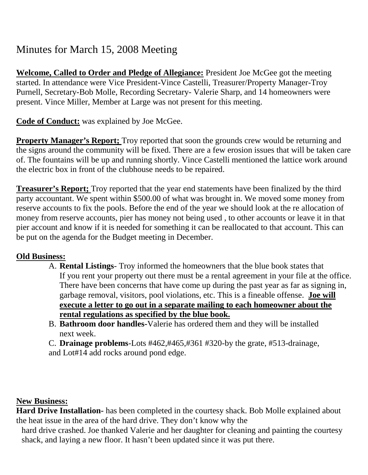# Minutes for March 15, 2008 Meeting

**Welcome, Called to Order and Pledge of Allegiance:** President Joe McGee got the meeting started. In attendance were Vice President-Vince Castelli, Treasurer/Property Manager-Troy Purnell, Secretary-Bob Molle, Recording Secretary- Valerie Sharp, and 14 homeowners were present. Vince Miller, Member at Large was not present for this meeting.

**Code of Conduct:** was explained by Joe McGee.

**Property Manager's Report;** Troy reported that soon the grounds crew would be returning and the signs around the community will be fixed. There are a few erosion issues that will be taken care of. The fountains will be up and running shortly. Vince Castelli mentioned the lattice work around the electric box in front of the clubhouse needs to be repaired.

**Treasurer's Report;** Troy reported that the year end statements have been finalized by the third party accountant. We spent within \$500.00 of what was brought in. We moved some money from reserve accounts to fix the pools. Before the end of the year we should look at the re allocation of money from reserve accounts, pier has money not being used , to other accounts or leave it in that pier account and know if it is needed for something it can be reallocated to that account. This can be put on the agenda for the Budget meeting in December.

# **Old Business:**

- A. **Rental Listings** Troy informed the homeowners that the blue book states that If you rent your property out there must be a rental agreement in your file at the office. There have been concerns that have come up during the past year as far as signing in, garbage removal, visitors, pool violations, etc. This is a fineable offense. **Joe will execute a letter to go out in a separate mailing to each homeowner about the rental regulations as specified by the blue book.**
- B. **Bathroom door handles-**Valerie has ordered them and they will be installed next week.

C. **Drainage problems**-Lots #462,#465,#361 #320-by the grate, #513-drainage, and Lot#14 add rocks around pond edge.

### **New Business:**

**Hard Drive Installation-** has been completed in the courtesy shack. Bob Molle explained about the heat issue in the area of the hard drive. They don't know why the

hard drive crashed. Joe thanked Valerie and her daughter for cleaning and painting the courtesy shack, and laying a new floor. It hasn't been updated since it was put there.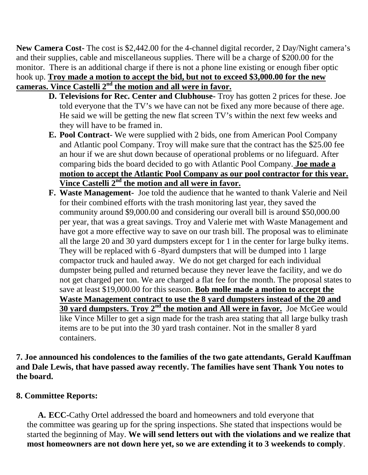**New Camera Cost-** The cost is \$2,442.00 for the 4-channel digital recorder, 2 Day/Night camera's and their supplies, cable and miscellaneous supplies. There will be a charge of \$200.00 for the monitor. There is an additional charge if there is not a phone line existing or enough fiber optic hook up. **Troy made a motion to accept the bid, but not to exceed \$3,000.00 for the new cameras. Vince Castelli 2nd the motion and all were in favor.**

- **D. Televisions for Rec. Center and Clubhouse-** Troy has gotten 2 prices for these. Joe told everyone that the TV's we have can not be fixed any more because of there age. He said we will be getting the new flat screen TV's within the next few weeks and they will have to be framed in.
- **E. Pool Contract** We were supplied with 2 bids, one from American Pool Company and Atlantic pool Company. Troy will make sure that the contract has the \$25.00 fee an hour if we are shut down because of operational problems or no lifeguard. After comparing bids the board decided to go with Atlantic Pool Company. **Joe made a motion to accept the Atlantic Pool Company as our pool contractor for this year. Vince Castelli 2nd the motion and all were in favor.**
- **F. Waste Management-** Joe told the audience that he wanted to thank Valerie and Neil for their combined efforts with the trash monitoring last year, they saved the community around \$9,000.00 and considering our overall bill is around \$50,000.00 per year, that was a great savings. Troy and Valerie met with Waste Management and have got a more effective way to save on our trash bill. The proposal was to eliminate all the large 20 and 30 yard dumpsters except for 1 in the center for large bulky items. They will be replaced with 6 -8yard dumpsters that will be dumped into 1 large compactor truck and hauled away. We do not get charged for each individual dumpster being pulled and returned because they never leave the facility, and we do not get charged per ton. We are charged a flat fee for the month. The proposal states to save at least \$19,000.00 for this season. **Bob molle made a motion to accept the Waste Management contract to use the 8 yard dumpsters instead of the 20 and 30 yard dumpsters. Troy 2nd the motion and All were in favor.** Joe McGee would like Vince Miller to get a sign made for the trash area stating that all large bulky trash items are to be put into the 30 yard trash container. Not in the smaller 8 yard containers.

**7. Joe announced his condolences to the families of the two gate attendants, Gerald Kauffman and Dale Lewis, that have passed away recently. The families have sent Thank You notes to the board.**

### **8. Committee Reports:**

**A. ECC-**Cathy Ortel addressed the board and homeowners and told everyone that the committee was gearing up for the spring inspections. She stated that inspections would be started the beginning of May. **We will send letters out with the violations and we realize that most homeowners are not down here yet, so we are extending it to 3 weekends to comply**.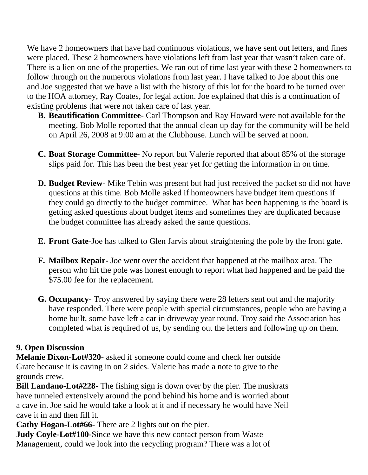We have 2 homeowners that have had continuous violations, we have sent out letters, and fines were placed. These 2 homeowners have violations left from last year that wasn't taken care of. There is a lien on one of the properties. We ran out of time last year with these 2 homeowners to follow through on the numerous violations from last year. I have talked to Joe about this one and Joe suggested that we have a list with the history of this lot for the board to be turned over to the HOA attorney, Ray Coates, for legal action. Joe explained that this is a continuation of existing problems that were not taken care of last year.

- **B. Beautification Committee** Carl Thompson and Ray Howard were not available for the meeting. Bob Molle reported that the annual clean up day for the community will be held on April 26, 2008 at 9:00 am at the Clubhouse. Lunch will be served at noon.
- **C. Boat Storage Committee-** No report but Valerie reported that about 85% of the storage slips paid for. This has been the best year yet for getting the information in on time.
- **D. Budget Review-** Mike Tebin was present but had just received the packet so did not have questions at this time. Bob Molle asked if homeowners have budget item questions if they could go directly to the budget committee. What has been happening is the board is getting asked questions about budget items and sometimes they are duplicated because the budget committee has already asked the same questions.
- **E. Front Gate-**Joe has talked to Glen Jarvis about straightening the pole by the front gate.
- **F. Mailbox Repair-** Joe went over the accident that happened at the mailbox area. The person who hit the pole was honest enough to report what had happened and he paid the \$75.00 fee for the replacement.
- **G. Occupancy-** Troy answered by saying there were 28 letters sent out and the majority have responded. There were people with special circumstances, people who are having a home built, some have left a car in driveway year round. Troy said the Association has completed what is required of us, by sending out the letters and following up on them.

# **9. Open Discussion**

**Melanie Dixon-Lot#320-** asked if someone could come and check her outside Grate because it is caving in on 2 sides. Valerie has made a note to give to the grounds crew.

**Bill Landano-Lot#228**- The fishing sign is down over by the pier. The muskrats have tunneled extensively around the pond behind his home and is worried about a cave in. Joe said he would take a look at it and if necessary he would have Neil cave it in and then fill it.

**Cathy Hogan-Lot#66**- There are 2 lights out on the pier.

**Judy Coyle-Lot#100-**Since we have this new contact person from Waste Management, could we look into the recycling program? There was a lot of